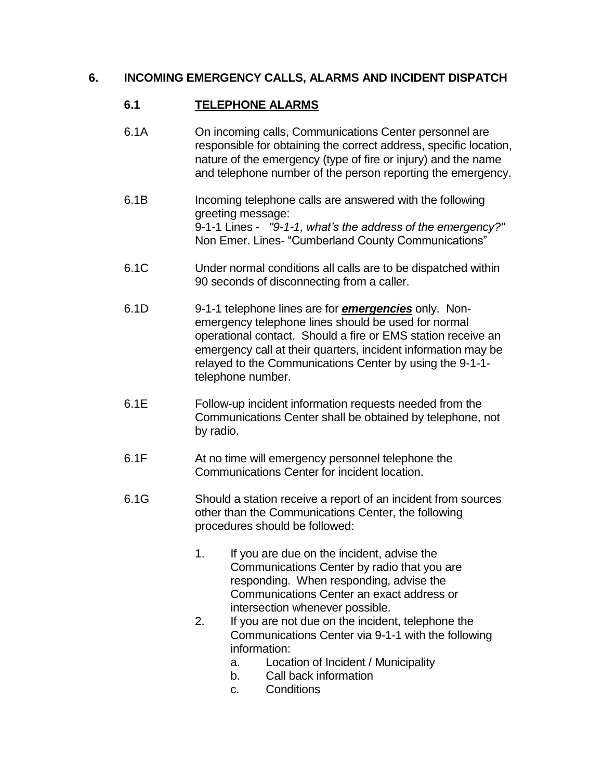# **6. INCOMING EMERGENCY CALLS, ALARMS AND INCIDENT DISPATCH**

# **6.1 TELEPHONE ALARMS**

| 6.1A | On incoming calls, Communications Center personnel are<br>responsible for obtaining the correct address, specific location,<br>nature of the emergency (type of fire or injury) and the name<br>and telephone number of the person reporting the emergency.                                                                          |
|------|--------------------------------------------------------------------------------------------------------------------------------------------------------------------------------------------------------------------------------------------------------------------------------------------------------------------------------------|
| 6.1B | Incoming telephone calls are answered with the following<br>greeting message:<br>9-1-1 Lines - "9-1-1, what's the address of the emergency?"<br>Non Emer. Lines- "Cumberland County Communications"                                                                                                                                  |
| 6.1C | Under normal conditions all calls are to be dispatched within<br>90 seconds of disconnecting from a caller.                                                                                                                                                                                                                          |
| 6.1D | 9-1-1 telephone lines are for <b>emergencies</b> only. Non-<br>emergency telephone lines should be used for normal<br>operational contact. Should a fire or EMS station receive an<br>emergency call at their quarters, incident information may be<br>relayed to the Communications Center by using the 9-1-1-<br>telephone number. |
| 6.1E | Follow-up incident information requests needed from the<br>Communications Center shall be obtained by telephone, not<br>by radio.                                                                                                                                                                                                    |
| 6.1F | At no time will emergency personnel telephone the<br>Communications Center for incident location.                                                                                                                                                                                                                                    |
| 6.1G | Should a station receive a report of an incident from sources<br>other than the Communications Center, the following<br>procedures should be followed:                                                                                                                                                                               |
|      | 1.<br>If you are due on the incident, advise the<br>Communications Center by radio that you are<br>responding. When responding, advise the<br>Communications Center an exact address or<br>intersection whenever possible.<br>If you are not due on the incident, telephone the<br>2.                                                |
|      | Communications Center via 9-1-1 with the following<br>information:                                                                                                                                                                                                                                                                   |

- a. Location of Incident / Municipality<br>b. Call back information
- Call back information
- c. Conditions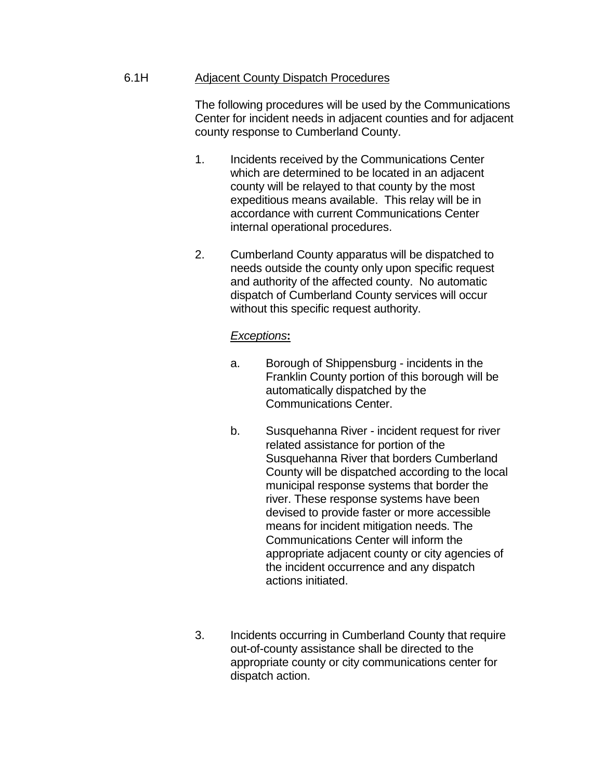### 6.1H Adjacent County Dispatch Procedures

The following procedures will be used by the Communications Center for incident needs in adjacent counties and for adjacent county response to Cumberland County.

- 1. Incidents received by the Communications Center which are determined to be located in an adjacent county will be relayed to that county by the most expeditious means available. This relay will be in accordance with current Communications Center internal operational procedures.
- 2. Cumberland County apparatus will be dispatched to needs outside the county only upon specific request and authority of the affected county. No automatic dispatch of Cumberland County services will occur without this specific request authority.

### *Exceptions***:**

- a. Borough of Shippensburg incidents in the Franklin County portion of this borough will be automatically dispatched by the Communications Center.
- b. Susquehanna River incident request for river related assistance for portion of the Susquehanna River that borders Cumberland County will be dispatched according to the local municipal response systems that border the river. These response systems have been devised to provide faster or more accessible means for incident mitigation needs. The Communications Center will inform the appropriate adjacent county or city agencies of the incident occurrence and any dispatch actions initiated.
- 3. Incidents occurring in Cumberland County that require out-of-county assistance shall be directed to the appropriate county or city communications center for dispatch action.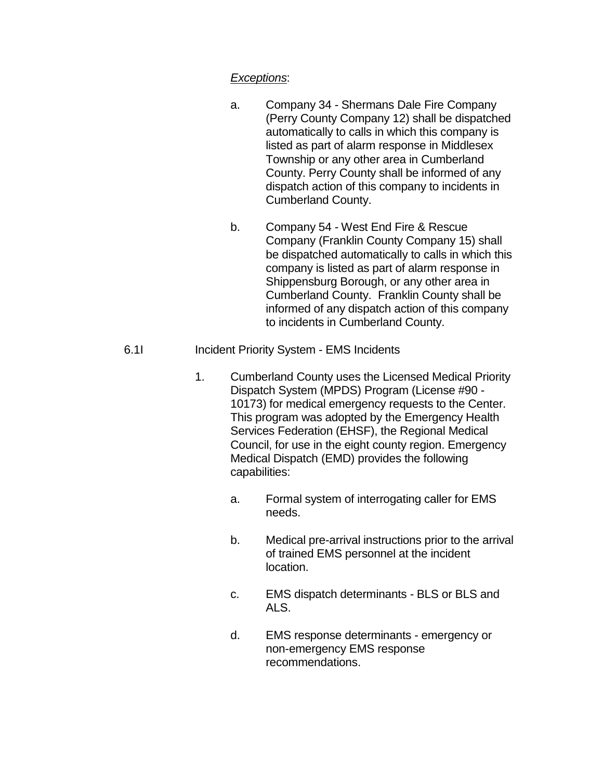## *Exceptions*:

- a. Company 34 Shermans Dale Fire Company (Perry County Company 12) shall be dispatched automatically to calls in which this company is listed as part of alarm response in Middlesex Township or any other area in Cumberland County. Perry County shall be informed of any dispatch action of this company to incidents in Cumberland County.
- b. Company 54 West End Fire & Rescue Company (Franklin County Company 15) shall be dispatched automatically to calls in which this company is listed as part of alarm response in Shippensburg Borough, or any other area in Cumberland County. Franklin County shall be informed of any dispatch action of this company to incidents in Cumberland County.
- 6.1I Incident Priority System EMS Incidents
	- 1. Cumberland County uses the Licensed Medical Priority Dispatch System (MPDS) Program (License #90 - 10173) for medical emergency requests to the Center. This program was adopted by the Emergency Health Services Federation (EHSF), the Regional Medical Council, for use in the eight county region. Emergency Medical Dispatch (EMD) provides the following capabilities:
		- a. Formal system of interrogating caller for EMS needs.
		- b. Medical pre-arrival instructions prior to the arrival of trained EMS personnel at the incident location.
		- c. EMS dispatch determinants BLS or BLS and ALS.
		- d. EMS response determinants emergency or non-emergency EMS response recommendations.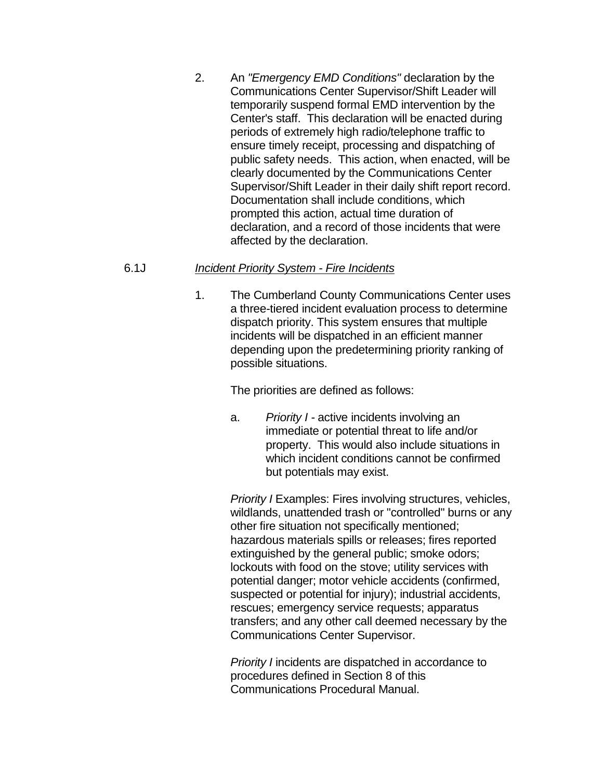2. An *"Emergency EMD Conditions"* declaration by the Communications Center Supervisor/Shift Leader will temporarily suspend formal EMD intervention by the Center's staff. This declaration will be enacted during periods of extremely high radio/telephone traffic to ensure timely receipt, processing and dispatching of public safety needs. This action, when enacted, will be clearly documented by the Communications Center Supervisor/Shift Leader in their daily shift report record. Documentation shall include conditions, which prompted this action, actual time duration of declaration, and a record of those incidents that were affected by the declaration.

## 6.1J *Incident Priority System - Fire Incidents*

1. The Cumberland County Communications Center uses a three-tiered incident evaluation process to determine dispatch priority. This system ensures that multiple incidents will be dispatched in an efficient manner depending upon the predetermining priority ranking of possible situations.

The priorities are defined as follows:

a. *Priority I -* active incidents involving an immediate or potential threat to life and/or property. This would also include situations in which incident conditions cannot be confirmed but potentials may exist.

*Priority I* Examples: Fires involving structures, vehicles, wildlands, unattended trash or "controlled" burns or any other fire situation not specifically mentioned; hazardous materials spills or releases; fires reported extinguished by the general public; smoke odors; lockouts with food on the stove; utility services with potential danger; motor vehicle accidents (confirmed, suspected or potential for injury); industrial accidents, rescues; emergency service requests; apparatus transfers; and any other call deemed necessary by the Communications Center Supervisor.

*Priority I* incidents are dispatched in accordance to procedures defined in Section 8 of this Communications Procedural Manual.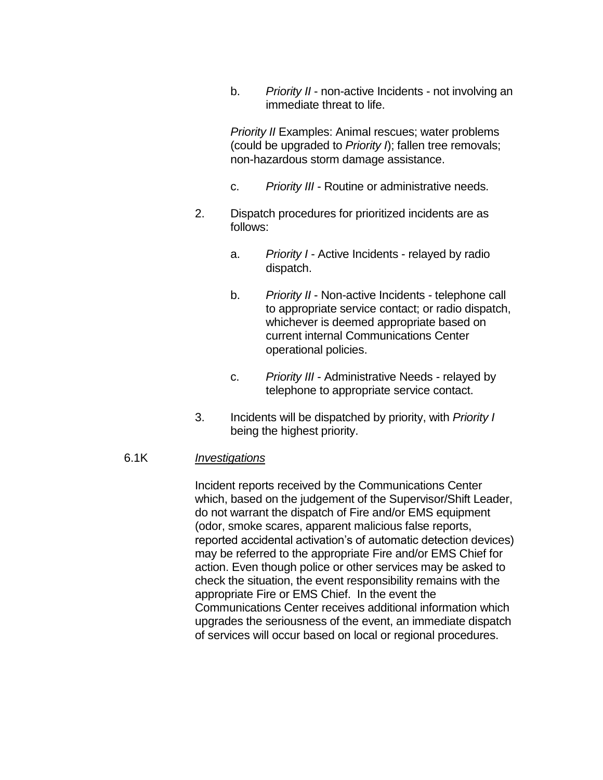b. *Priority II* - non-active Incidents - not involving an immediate threat to life.

*Priority II* Examples: Animal rescues; water problems (could be upgraded to *Priority I*); fallen tree removals; non-hazardous storm damage assistance.

- c. *Priority III*  Routine or administrative needs.
- 2. Dispatch procedures for prioritized incidents are as follows:
	- a. *Priority I*  Active Incidents relayed by radio dispatch.
	- b. *Priority II* Non-active Incidents telephone call to appropriate service contact; or radio dispatch, whichever is deemed appropriate based on current internal Communications Center operational policies.
	- c. *Priority III*  Administrative Needs relayed by telephone to appropriate service contact.
- 3. Incidents will be dispatched by priority, with *Priority I*  being the highest priority.

#### 6.1K *Investigations*

Incident reports received by the Communications Center which, based on the judgement of the Supervisor/Shift Leader, do not warrant the dispatch of Fire and/or EMS equipment (odor, smoke scares, apparent malicious false reports, reported accidental activation's of automatic detection devices) may be referred to the appropriate Fire and/or EMS Chief for action. Even though police or other services may be asked to check the situation, the event responsibility remains with the appropriate Fire or EMS Chief. In the event the Communications Center receives additional information which upgrades the seriousness of the event, an immediate dispatch of services will occur based on local or regional procedures.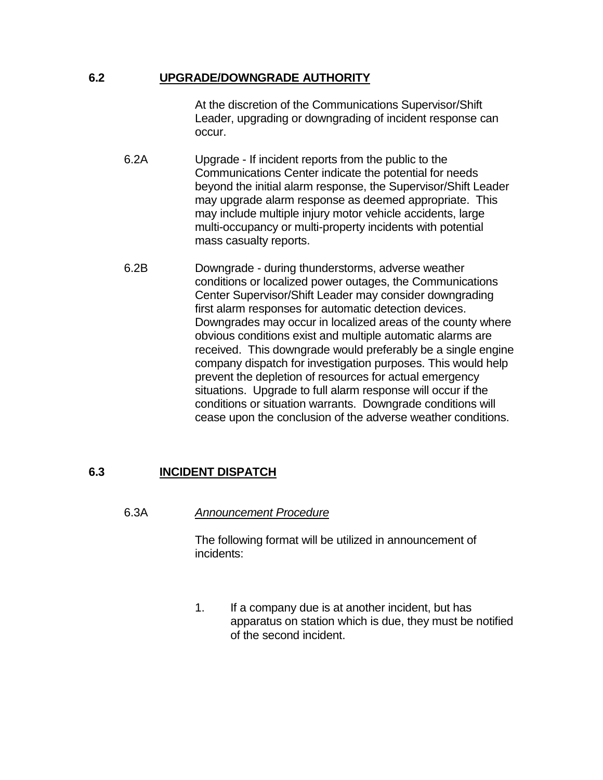## **6.2 UPGRADE/DOWNGRADE AUTHORITY**

At the discretion of the Communications Supervisor/Shift Leader, upgrading or downgrading of incident response can occur.

- 6.2A Upgrade If incident reports from the public to the Communications Center indicate the potential for needs beyond the initial alarm response, the Supervisor/Shift Leader may upgrade alarm response as deemed appropriate. This may include multiple injury motor vehicle accidents, large multi-occupancy or multi-property incidents with potential mass casualty reports.
- 6.2B Downgrade during thunderstorms, adverse weather conditions or localized power outages, the Communications Center Supervisor/Shift Leader may consider downgrading first alarm responses for automatic detection devices. Downgrades may occur in localized areas of the county where obvious conditions exist and multiple automatic alarms are received. This downgrade would preferably be a single engine company dispatch for investigation purposes. This would help prevent the depletion of resources for actual emergency situations. Upgrade to full alarm response will occur if the conditions or situation warrants. Downgrade conditions will cease upon the conclusion of the adverse weather conditions.

# **6.3 INCIDENT DISPATCH**

## 6.3A *Announcement Procedure*

The following format will be utilized in announcement of incidents:

1. If a company due is at another incident, but has apparatus on station which is due, they must be notified of the second incident.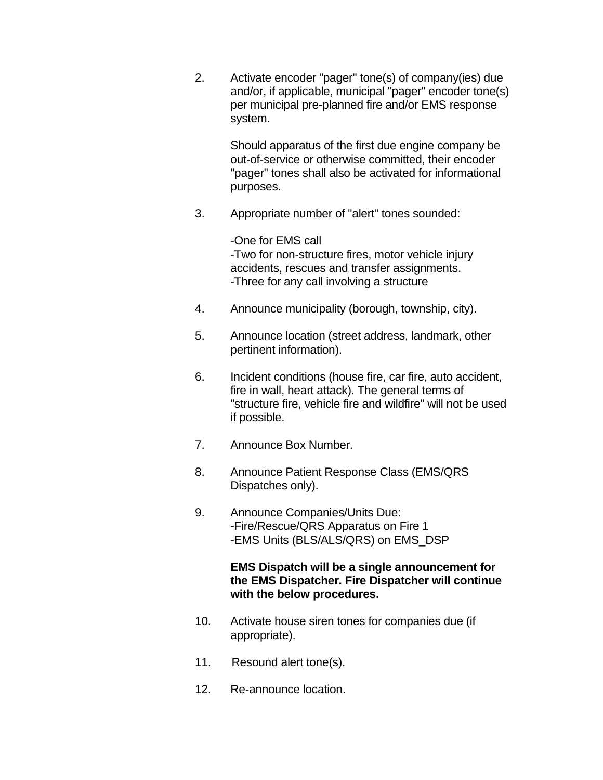2. Activate encoder "pager" tone(s) of company(ies) due and/or, if applicable, municipal "pager" encoder tone(s) per municipal pre-planned fire and/or EMS response system.

> Should apparatus of the first due engine company be out-of-service or otherwise committed, their encoder "pager" tones shall also be activated for informational purposes.

3. Appropriate number of "alert" tones sounded:

-One for EMS call -Two for non-structure fires, motor vehicle injury accidents, rescues and transfer assignments. -Three for any call involving a structure

- 4. Announce municipality (borough, township, city).
- 5. Announce location (street address, landmark, other pertinent information).
- 6. Incident conditions (house fire, car fire, auto accident, fire in wall, heart attack). The general terms of "structure fire, vehicle fire and wildfire" will not be used if possible.
- 7. Announce Box Number.
- 8. Announce Patient Response Class (EMS/QRS Dispatches only).
- 9. Announce Companies/Units Due: -Fire/Rescue/QRS Apparatus on Fire 1 -EMS Units (BLS/ALS/QRS) on EMS\_DSP

### **EMS Dispatch will be a single announcement for the EMS Dispatcher. Fire Dispatcher will continue with the below procedures.**

- 10. Activate house siren tones for companies due (if appropriate).
- 11. Resound alert tone(s).
- 12. Re-announce location.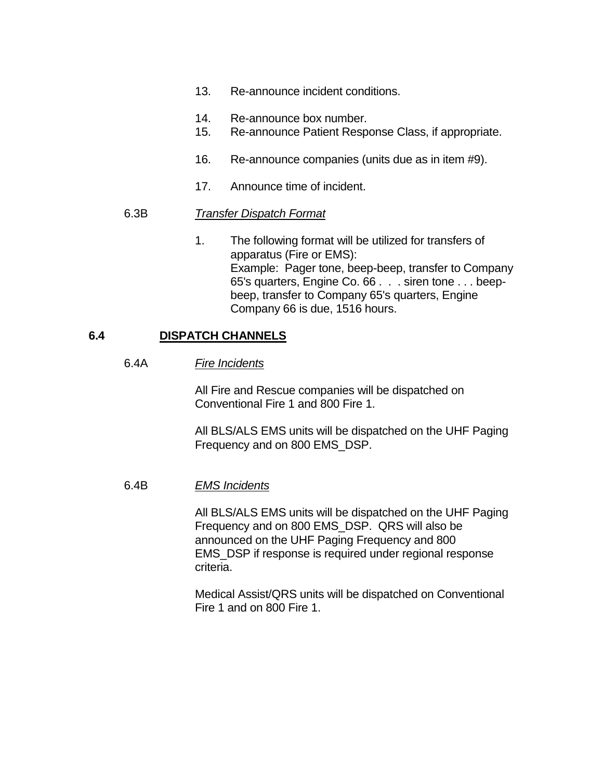- 13. Re-announce incident conditions.
- 14. Re-announce box number.
- 15. Re-announce Patient Response Class, if appropriate.
- 16. Re-announce companies (units due as in item #9).
- 17. Announce time of incident.

#### 6.3B *Transfer Dispatch Format*

1. The following format will be utilized for transfers of apparatus (Fire or EMS): Example: Pager tone, beep-beep, transfer to Company 65's quarters, Engine Co. 66 . . . siren tone . . . beepbeep, transfer to Company 65's quarters, Engine Company 66 is due, 1516 hours.

### **6.4 DISPATCH CHANNELS**

#### 6.4A *Fire Incidents*

All Fire and Rescue companies will be dispatched on Conventional Fire 1 and 800 Fire 1.

All BLS/ALS EMS units will be dispatched on the UHF Paging Frequency and on 800 EMS\_DSP.

#### 6.4B *EMS Incidents*

All BLS/ALS EMS units will be dispatched on the UHF Paging Frequency and on 800 EMS\_DSP. QRS will also be announced on the UHF Paging Frequency and 800 EMS\_DSP if response is required under regional response criteria.

Medical Assist/QRS units will be dispatched on Conventional Fire 1 and on 800 Fire 1.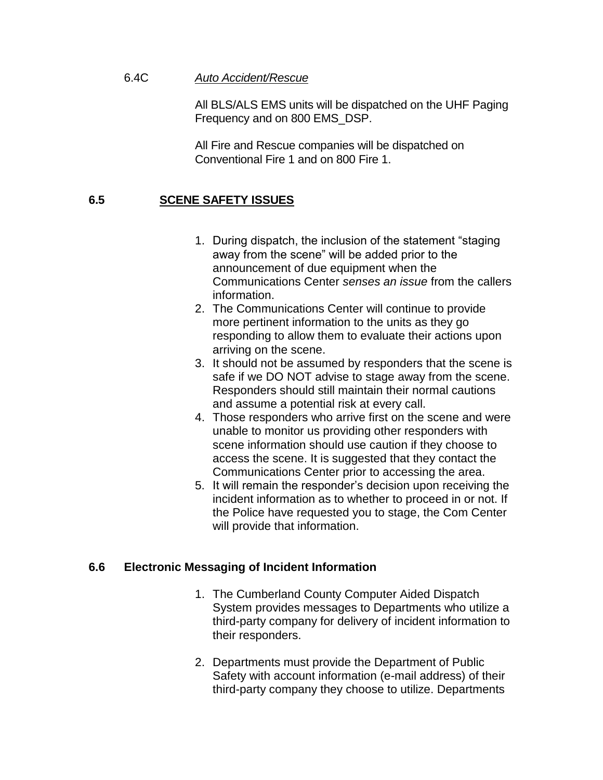#### 6.4C *Auto Accident/Rescue*

All BLS/ALS EMS units will be dispatched on the UHF Paging Frequency and on 800 EMS\_DSP.

All Fire and Rescue companies will be dispatched on Conventional Fire 1 and on 800 Fire 1.

# **6.5 SCENE SAFETY ISSUES**

- 1. During dispatch, the inclusion of the statement "staging away from the scene" will be added prior to the announcement of due equipment when the Communications Center *senses an issue* from the callers information.
- 2. The Communications Center will continue to provide more pertinent information to the units as they go responding to allow them to evaluate their actions upon arriving on the scene.
- 3. It should not be assumed by responders that the scene is safe if we DO NOT advise to stage away from the scene. Responders should still maintain their normal cautions and assume a potential risk at every call.
- 4. Those responders who arrive first on the scene and were unable to monitor us providing other responders with scene information should use caution if they choose to access the scene. It is suggested that they contact the Communications Center prior to accessing the area.
- 5. It will remain the responder's decision upon receiving the incident information as to whether to proceed in or not. If the Police have requested you to stage, the Com Center will provide that information.

## **6.6 Electronic Messaging of Incident Information**

- 1. The Cumberland County Computer Aided Dispatch System provides messages to Departments who utilize a third-party company for delivery of incident information to their responders.
- 2. Departments must provide the Department of Public Safety with account information (e-mail address) of their third-party company they choose to utilize. Departments